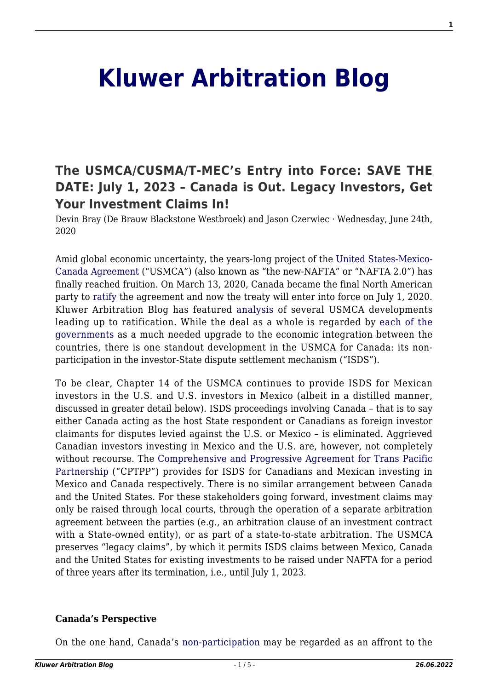# **[Kluwer Arbitration Blog](http://arbitrationblog.kluwerarbitration.com/)**

# **[The USMCA/CUSMA/T-MEC's Entry into Force: SAVE THE](http://arbitrationblog.kluwerarbitration.com/2020/06/24/the-usmca-cusma-t-mecs-entry-into-force-save-the-date-july-1-2023-canada-is-out-legacy-investors-get-your-investment-claims-in/) [DATE: July 1, 2023 – Canada is Out. Legacy Investors, Get](http://arbitrationblog.kluwerarbitration.com/2020/06/24/the-usmca-cusma-t-mecs-entry-into-force-save-the-date-july-1-2023-canada-is-out-legacy-investors-get-your-investment-claims-in/) [Your Investment Claims In!](http://arbitrationblog.kluwerarbitration.com/2020/06/24/the-usmca-cusma-t-mecs-entry-into-force-save-the-date-july-1-2023-canada-is-out-legacy-investors-get-your-investment-claims-in/)**

Devin Bray (De Brauw Blackstone Westbroek) and Jason Czerwiec · Wednesday, June 24th, 2020

Amid global economic uncertainty, the years-long project of the [United States-Mexico-](https://ustr.gov/trade-agreements/free-trade-agreements/united-states-mexico-canada-agreement/agreement-between)[Canada Agreement](https://ustr.gov/trade-agreements/free-trade-agreements/united-states-mexico-canada-agreement/agreement-between) ("USMCA") (also known as "the new-NAFTA" or "NAFTA 2.0") has finally reached fruition. On March 13, 2020, Canada became the final North American party to [ratify](https://www.reuters.com/article/us-usa-trade-usmca/new-north-american-trade-pact-to-take-effect-july-1-ustr-idUSKCN2263H0) the agreement and now the treaty will enter into force on July 1, 2020. Kluwer Arbitration Blog has featured [analysis](http://arbitrationblog.kluwerarbitration.com/?s=Usmca) of several USMCA developments leading up to ratification. While the deal as a whole is regarded by [each of the](https://www.whitehouse.gov/briefings-statements/remarks-president-trump-prime-minister-trudeau-canada-president-pena-nieto-mexico-signing-ceremony-united-states-mexico-canada-agreement/) [governments](https://www.whitehouse.gov/briefings-statements/remarks-president-trump-prime-minister-trudeau-canada-president-pena-nieto-mexico-signing-ceremony-united-states-mexico-canada-agreement/) as a much needed upgrade to the economic integration between the countries, there is one standout development in the USMCA for Canada: its nonparticipation in the investor-State dispute settlement mechanism ("ISDS").

To be clear, Chapter 14 of the USMCA continues to provide ISDS for Mexican investors in the U.S. and U.S. investors in Mexico (albeit in a distilled manner, discussed in greater detail below). ISDS proceedings involving Canada – that is to say either Canada acting as the host State respondent or Canadians as foreign investor claimants for disputes levied against the U.S. or Mexico – is eliminated. Aggrieved Canadian investors investing in Mexico and the U.S. are, however, not completely without recourse. The [Comprehensive and Progressive Agreement for Trans Pacific](https://www.international.gc.ca/trade-commerce/trade-agreements-accords-commerciaux/agr-acc/cptpp-ptpgp/index.aspx?lang=eng) [Partnership](https://www.international.gc.ca/trade-commerce/trade-agreements-accords-commerciaux/agr-acc/cptpp-ptpgp/index.aspx?lang=eng) ("CPTPP") provides for ISDS for Canadians and Mexican investing in Mexico and Canada respectively. There is no similar arrangement between Canada and the United States. For these stakeholders going forward, investment claims may only be raised through local courts, through the operation of a separate arbitration agreement between the parties (e.g., an arbitration clause of an investment contract with a State-owned entity), or as part of a state-to-state arbitration. The USMCA preserves "legacy claims", by which it permits ISDS claims between Mexico, Canada and the United States for existing investments to be raised under NAFTA for a period of three years after its termination, i.e., until July 1, 2023.

#### **Canada's Perspective**

On the one hand, Canada's [non-participation](http://www.kluwerarbitration.com/document/kli-joia-360605) may be regarded as an affront to the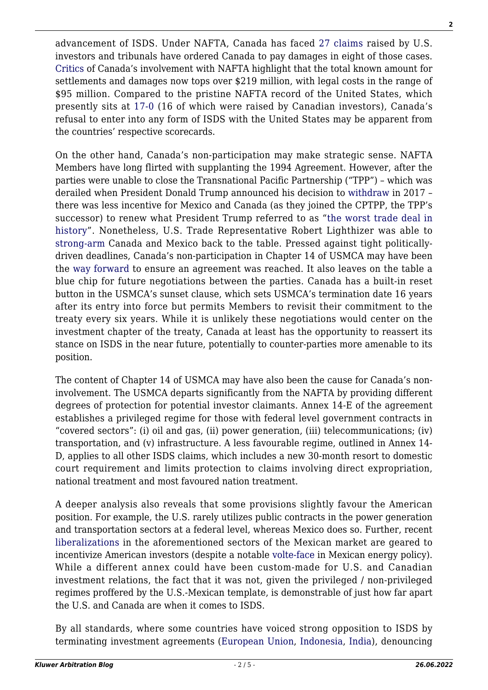advancement of ISDS. Under NAFTA, Canada has faced [27 claims](https://investmentpolicy.unctad.org/investment-dispute-settlement/country/35/canada) raised by U.S. investors and tribunals have ordered Canada to pay damages in eight of those cases. [Critics](https://www.policyalternatives.ca/sites/default/files/uploads/publications/National%20Office/2018/01/NAFTA%20Dispute%20Table%20Report%202018.pdf) of Canada's involvement with NAFTA highlight that the total known amount for settlements and damages now tops over \$219 million, with legal costs in the range of \$95 million. Compared to the pristine NAFTA record of the United States, which presently sits at [17-0](https://investmentpolicy.unctad.org/investment-dispute-settlement/country/223/united-states-of-america) (16 of which were raised by Canadian investors), Canada's refusal to enter into any form of ISDS with the United States may be apparent from the countries' respective scorecards.

On the other hand, Canada's non-participation may make strategic sense. NAFTA Members have long flirted with supplanting the 1994 Agreement. However, after the parties were unable to close the Transnational Pacific Partnership ("TPP") – which was derailed when President Donald Trump announced his decision to [withdraw](https://www.whitehouse.gov/presidential-actions/presidential-memorandum-regarding-withdrawal-united-states-trans-pacific-partnership-negotiations-agreement/) in 2017 – there was less incentive for Mexico and Canada (as they joined the CPTPP, the TPP's successor) to renew what President Trump referred to as "[the worst trade deal in](https://edition.cnn.com/politics/live-news/trump-us-mexico-canada-remarks-oct-18/h_2c0a8c6bad4dc7a2f98acda7c57ea454) [history"](https://edition.cnn.com/politics/live-news/trump-us-mexico-canada-remarks-oct-18/h_2c0a8c6bad4dc7a2f98acda7c57ea454). Nonetheless, U.S. Trade Representative Robert Lighthizer was able to [strong-arm](https://www.irishtimes.com/business/economy/trump-triggers-trade-renegotiations-with-canada-and-mexico-1.3089001) Canada and Mexico back to the table. Pressed against tight politicallydriven deadlines, Canada's non-participation in Chapter 14 of USMCA may have been the [way forward](https://www.nytimes.com/2018/10/03/reader-center/canadian-reactions-nafta-changes-usmca.html) to ensure an agreement was reached. It also leaves on the table a blue chip for future negotiations between the parties. Canada has a built-in reset button in the USMCA's sunset clause, which sets USMCA's termination date 16 years after its entry into force but permits Members to revisit their commitment to the treaty every six years. While it is unlikely these negotiations would center on the investment chapter of the treaty, Canada at least has the opportunity to reassert its stance on ISDS in the near future, potentially to counter-parties more amenable to its position.

The content of Chapter 14 of USMCA may have also been the cause for Canada's noninvolvement. The USMCA departs significantly from the NAFTA by providing different degrees of protection for potential investor claimants. Annex 14-E of the agreement establishes a privileged regime for those with federal level government contracts in "covered sectors": (i) oil and gas, (ii) power generation, (iii) telecommunications; (iv) transportation, and (v) infrastructure. A less favourable regime, outlined in Annex 14- D, applies to all other ISDS claims, which includes a new 30-month resort to domestic court requirement and limits protection to claims involving direct expropriation, national treatment and most favoured nation treatment.

A deeper analysis also reveals that some provisions slightly favour the American position. For example, the U.S. rarely utilizes public contracts in the power generation and transportation sectors at a federal level, whereas Mexico does so. Further, recent [liberalizations](https://fas.org/sgp/crs/row/RL32934.pdf) in the aforementioned sectors of the Mexican market are geared to incentivize American investors (despite a notable [volte-face](https://www.ft.com/content/da6e5abd-b1b5-497f-9fff-f7c131c81b27) in Mexican energy policy). While a different annex could have been custom-made for U.S. and Canadian investment relations, the fact that it was not, given the privileged / non-privileged regimes proffered by the U.S.-Mexican template, is demonstrable of just how far apart the U.S. and Canada are when it comes to ISDS.

By all standards, where some countries have voiced strong opposition to ISDS by terminating investment agreements [\(European Union,](https://ec.europa.eu/info/files/200505-bilateral-investment-treaties-agreement_en) [Indonesia](http://arbitrationblog.kluwerarbitration.com/2014/08/21/indonesias-termination-of-the-netherlands-indonesia-bit-broader-implications-in-the-asia-pacific/?doing_wp_cron=1590817181.0548899173736572265625), [India](https://www.reuters.com/article/india-investment-treaty/indias-proposed-investment-treaty-termsleave-foreign-partners-cold-idUSL4N1P72N1)), denouncing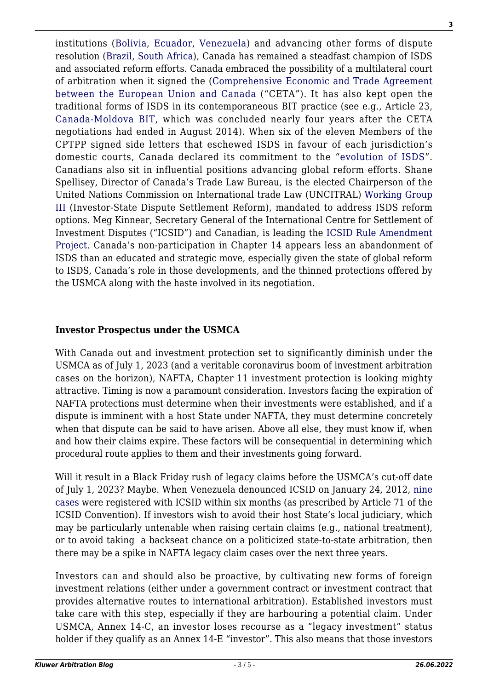institutions ([Bolivia](http://arbitrationblog.kluwerarbitration.com/2017/08/12/life-icsid-10th-anniversary-bolivias-withdrawal-icsid/?doing_wp_cron=1590817537.2307519912719726562500), [Ecuador,](http://arbitrationblog.kluwerarbitration.com/2017/10/12/ecuadors-ordeal-international-jurisdiction-journey-no-return/?doing_wp_cron=1590817752.2689170837402343750000) [Venezuela\)](http://arbitrationblog.kluwerarbitration.com/2018/01/05/bell-doesnt-save-favianca-jurisdiction-icsid-denunciation/?doing_wp_cron=1590817910.8709969520568847656250) and advancing other forms of dispute resolution ([Brazil](http://arbitrationblog.kluwerarbitration.com/2020/03/21/india-brazil-ink-novel-investment-treaty-is-dispute-prevention-the-way-forward/?doing_wp_cron=1590818930.7574789524078369140625), [South Africa\)](http://www.scielo.org.za/scielo.php?script=sci_arttext&pid=S2225-71602019000100021), Canada has remained a steadfast champion of ISDS and associated reform efforts. Canada embraced the possibility of a multilateral court of arbitration when it signed the [\(Comprehensive Economic and Trade Agreement](https://ec.europa.eu/trade/policy/in-focus/ceta/index_en.htm) [between the European Union and Canada](https://ec.europa.eu/trade/policy/in-focus/ceta/index_en.htm) ("CETA"). It has also kept open the traditional forms of ISDS in its contemporaneous BIT practice (see e.g., Article 23, [Canada-Moldova BIT](https://www.international.gc.ca/trade-commerce/trade-agreements-accords-commerciaux/agr-acc/moldova/fipa-apie/text-texte.aspx?lang=eng&_ga=2.211199895.324216241.1589823602-1150791668.1589823602), which was concluded nearly four years after the CETA negotiations had ended in August 2014). When six of the eleven Members of the CPTPP signed side letters that eschewed ISDS in favour of each jurisdiction's domestic courts, Canada declared its commitment to the "[evolution of ISDS"](https://www.international.gc.ca/trade-commerce/trade-agreements-accords-commerciaux/agr-acc/cptpp-ptpgp/declaration_isds-rdie.aspx?lang=eng). Canadians also sit in influential positions advancing global reform efforts. Shane Spellisey, Director of Canada's Trade Law Bureau, is the elected Chairperson of the United Nations Commission on International trade Law (UNCITRAL) [Working Group](https://uncitral.un.org/en/working_groups/3/investor-state) [III](https://uncitral.un.org/en/working_groups/3/investor-state) (Investor-State Dispute Settlement Reform), mandated to address ISDS reform options. Meg Kinnear, Secretary General of the International Centre for Settlement of Investment Disputes ("ICSID") and Canadian, is leading the [ICSID Rule Amendment](https://icsid.worldbank.org/en/amendments) [Project.](https://icsid.worldbank.org/en/amendments) Canada's non-participation in Chapter 14 appears less an abandonment of ISDS than an educated and strategic move, especially given the state of global reform to ISDS, Canada's role in those developments, and the thinned protections offered by the USMCA along with the haste involved in its negotiation.

#### **Investor Prospectus under the USMCA**

With Canada out and investment protection set to significantly diminish under the USMCA as of July 1, 2023 (and a veritable coronavirus boom of investment arbitration cases on the horizon), NAFTA, Chapter 11 investment protection is looking mighty attractive. Timing is now a paramount consideration. Investors facing the expiration of NAFTA protections must determine when their investments were established, and if a dispute is imminent with a host State under NAFTA, they must determine concretely when that dispute can be said to have arisen. Above all else, they must know if, when and how their claims expire. These factors will be consequential in determining which procedural route applies to them and their investments going forward.

Will it result in a Black Friday rush of legacy claims before the USMCA's cut-off date of July 1, 2023? Maybe. When Venezuela denounced ICSID on January 24, 2012, [nine](https://icsid.worldbank.org/en/Pages/cases/AdvancedSearch.aspx) [cases](https://icsid.worldbank.org/en/Pages/cases/AdvancedSearch.aspx) were registered with ICSID within six months (as prescribed by Article 71 of the ICSID Convention). If investors wish to avoid their host State's local judiciary, which may be particularly untenable when raising certain claims (e.g., national treatment), or to avoid taking a backseat chance on a politicized state-to-state arbitration, then there may be a spike in NAFTA legacy claim cases over the next three years.

Investors can and should also be proactive, by cultivating new forms of foreign investment relations (either under a government contract or investment contract that provides alternative routes to international arbitration). Established investors must take care with this step, especially if they are harbouring a potential claim. Under USMCA, Annex 14-C, an investor loses recourse as a "legacy investment" status holder if they qualify as an Annex 14-E "investor". This also means that those investors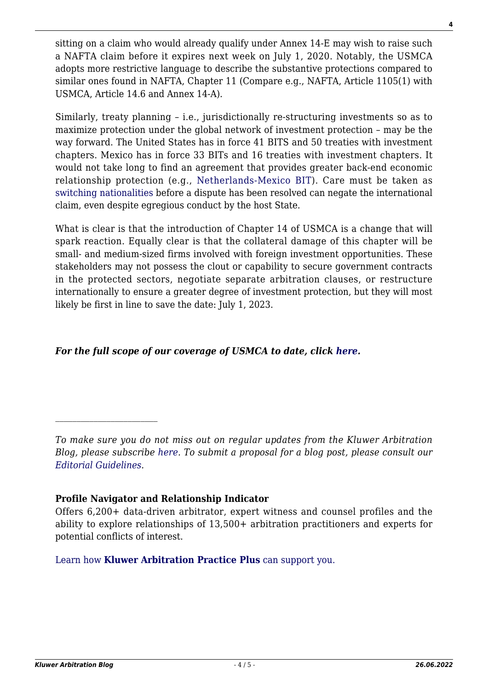sitting on a claim who would already qualify under Annex 14-E may wish to raise such a NAFTA claim before it expires next week on July 1, 2020. Notably, the USMCA adopts more restrictive language to describe the substantive protections compared to similar ones found in NAFTA, Chapter 11 (Compare e.g., NAFTA, Article 1105(1) with USMCA, Article 14.6 and Annex 14-A).

Similarly, treaty planning – i.e., jurisdictionally re-structuring investments so as to maximize protection under the global network of investment protection – may be the way forward. The United States has in force 41 BITS and 50 treaties with investment chapters. Mexico has in force 33 BITs and 16 treaties with investment chapters. It would not take long to find an agreement that provides greater back-end economic relationship protection (e.g., [Netherlands-Mexico BIT](https://investmentpolicy.unctad.org/international-investment-agreements/treaty-files/3276/download)). Care must be taken as [switching nationalities](https://www.italaw.com/sites/default/files/case-documents/ita0470.pdf) before a dispute has been resolved can negate the international claim, even despite egregious conduct by the host State.

What is clear is that the introduction of Chapter 14 of USMCA is a change that will spark reaction. Equally clear is that the collateral damage of this chapter will be small- and medium-sized firms involved with foreign investment opportunities. These stakeholders may not possess the clout or capability to secure government contracts in the protected sectors, negotiate separate arbitration clauses, or restructure internationally to ensure a greater degree of investment protection, but they will most likely be first in line to save the date: July 1, 2023.

### *For the full scope of our coverage of USMCA to date, click [here](http://arbitrationblog.kluwerarbitration.com/category/usmca/?doing_wp_cron=1591675178.5335190296173095703125).*

*To make sure you do not miss out on regular updates from the Kluwer Arbitration Blog, please subscribe [here](http://arbitrationblog.kluwerarbitration.com/newsletter/). To submit a proposal for a blog post, please consult our [Editorial Guidelines.](http://arbitrationblog.kluwerarbitration.com/editorial-guidelines/)*

## **Profile Navigator and Relationship Indicator**

 $\mathcal{L}_\text{max}$ 

[Learn how](https://www.wolterskluwer.com/en/solutions/kluwerarbitration/practiceplus?utm_source=arbitrationblog&utm_medium=articleCTA&utm_campaign=article-banner) **[Kluwer Arbitration Practice Plus](https://www.wolterskluwer.com/en/solutions/kluwerarbitration/practiceplus?utm_source=arbitrationblog&utm_medium=articleCTA&utm_campaign=article-banner)** [can support you.](https://www.wolterskluwer.com/en/solutions/kluwerarbitration/practiceplus?utm_source=arbitrationblog&utm_medium=articleCTA&utm_campaign=article-banner)

Offers 6,200+ data-driven arbitrator, expert witness and counsel profiles and the ability to explore relationships of 13,500+ arbitration practitioners and experts for potential conflicts of interest.